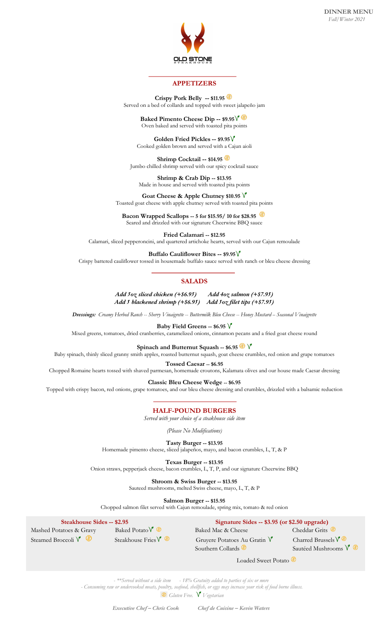

## **APPETIZERS**

**Crispy Pork Belly -- \$11.95** Served on a bed of collards and topped with sweet jalapeño jam

#### **Baked Pimento Cheese Dip -- \$9.95** Oven baked and served with toasted pita points

**Golden Fried Pickles -- \$9.95** Cooked golden brown and served with a Cajun aioli

**Shrimp Cocktail -- \$14.95** Jumbo chilled shrimp served with our spicy cocktail sauce

**Shrimp & Crab Dip -- \$13.95** Made in house and served with toasted pita points

**Goat Cheese & Apple Chutney \$10.95** Toasted goat cheese with apple chutney served with toasted pita points

**Bacon Wrapped Scallops -- 5 for \$15.95/ 10 for \$28.95** Seared and drizzled with our signature Cheerwine BBQ sauce

**Fried Calamari -- \$12.95** Calamari, sliced pepperoncini, and quartered artichoke hearts, served with our Cajun remoulade

#### **Buffalo Cauliflower Bites -- \$9.95**

Crispy battered cauliflower tossed in housemade buffalo sauce served with ranch or bleu cheese dressing

## **SALADS**

*Add 5oz sliced chicken (+\$6.95) Add 4oz salmon (+\$7.95) Add 5 blackened shrimp (+\$6.95) Add 5oz filet tips (+\$7.95)*

*Dressings: Creamy Herbed Ranch* -- *Sherry Vinaigrette* -- *Buttermilk Bleu Cheese* -- *Honey Mustard* – *Seasonal Vinaigrette* 

**Baby Field Greens -- \$6.95**

Mixed greens, tomatoes, dried cranberries, caramelized onions, cinnamon pecans and a fried goat cheese round

**Spinach and Butternut Squash -- \$6.95**

Baby spinach, thinly sliced granny smith apples, roasted butternut squash, goat cheese crumbles, red onion and grape tomatoes

**Tossed Caesar -- \$6.95**

Chopped Romaine hearts tossed with shaved parmesan, homemade croutons, Kalamata olives and our house made Caesar dressing

**Classic Bleu Cheese Wedge -- \$6.95**

Topped with crispy bacon, red onions, grape tomatoes, and our bleu cheese dressing and crumbles, drizzled with a balsamic reduction

**HALF-POUND BURGERS** 

*Served with your choice of a steakhouse side item*

*(Please No Modifications)*

**Tasty Burger -- \$13.95** Homemade pimento cheese, sliced jalapeños, mayo, and bacon crumbles, L, T, & P

**Texas Burger -- \$13.95** Onion straws, pepperjack cheese, bacon crumbles, L, T, P, and our signature Cheerwine BBQ

**Shroom & Swiss Burger -- \$13.95**

Sauteed mushrooms, melted Swiss cheese, mayo, L, T, & P

**Salmon Burger -- \$15.95**

Chopped salmon filet served with Cajun remoulade, spring mix, tomato & red onion

| <b>Steakhouse Sides -- \$2.95</b> |                               | Signature Sides -- \$3.95 (or \$2.50 upgrade) |                                   |  |
|-----------------------------------|-------------------------------|-----------------------------------------------|-----------------------------------|--|
| Mashed Potatoes & Gravy           | Baked Potato $\sqrt{\bullet}$ | Baked Mac & Cheese                            | Cheddar Grits                     |  |
| Steamed Broccoli <sup>V</sup>     | Steakhouse Fries $V$          | Gruyere Potatoes Au Gratin V                  | Charred Brussels $\sqrt{\bullet}$ |  |
|                                   |                               | Southern Collards                             | Sautéed Mushrooms V               |  |

Loaded Sweet Potato

*- \*\*Served without a side item - 18% Gratuity added to parties of six or more* 

*- Consuming raw or undercooked meats, poultry, seafood, shellfish, or eggs may increase your risk of food borne illness.*

*Gluten Free.* **V** Vegetarian